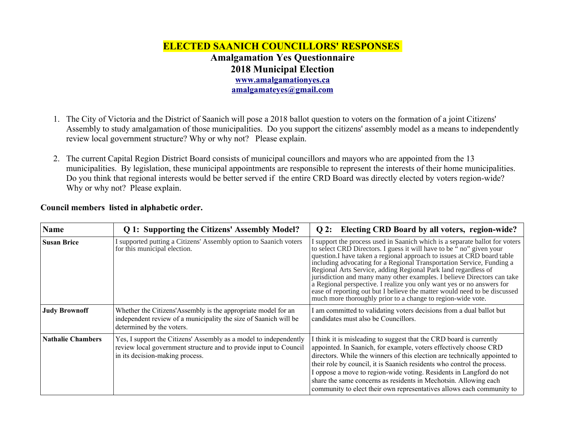## **ELECTED SAANICH COUNCILLORS' RESPONSES Amalgamation Yes Questionnaire 2018 Municipal Election [www.amalgamationyes.ca](http://www.amalgamationyes.ca/) [amalgamateyes@gmail.com](mailto:amalgamateyes@gmail.com)**

- 1. The City of Victoria and the District of Saanich will pose a 2018 ballot question to voters on the formation of a joint Citizens' Assembly to study amalgamation of those municipalities. Do you support the citizens' assembly model as a means to independently review local government structure? Why or why not? Please explain.
- 2. The current Capital Region District Board consists of municipal councillors and mayors who are appointed from the 13 municipalities. By legislation, these municipal appointments are responsible to represent the interests of their home municipalities. Do you think that regional interests would be better served if the entire CRD Board was directly elected by voters region-wide? Why or why not? Please explain.

| <b>Name</b>              | Q 1: Supporting the Citizens' Assembly Model?                                                                                                                             | Electing CRD Board by all voters, region-wide?<br>$Q2$ :                                                                                                                                                                                                                                                                                                                                                                                                                                                                                                                                                                                                                 |
|--------------------------|---------------------------------------------------------------------------------------------------------------------------------------------------------------------------|--------------------------------------------------------------------------------------------------------------------------------------------------------------------------------------------------------------------------------------------------------------------------------------------------------------------------------------------------------------------------------------------------------------------------------------------------------------------------------------------------------------------------------------------------------------------------------------------------------------------------------------------------------------------------|
| <b>Susan Brice</b>       | I supported putting a Citizens' Assembly option to Saanich voters<br>for this municipal election.                                                                         | I support the process used in Saanich which is a separate ballot for voters<br>to select CRD Directors. I guess it will have to be "no" given your<br>question. I have taken a regional approach to issues at CRD board table<br>including advocating for a Regional Transportation Service, Funding a<br>Regional Arts Service, adding Regional Park land regardless of<br>jurisdiction and many many other examples. I believe Directors can take<br>a Regional perspective. I realize you only want yes or no answers for<br>ease of reporting out but I believe the matter would need to be discussed<br>much more thoroughly prior to a change to region-wide vote. |
| <b>Judy Brownoff</b>     | Whether the Citizens'Assembly is the appropriate model for an<br>independent review of a municipality the size of Saanich will be<br>determined by the voters.            | I am committed to validating voters decisions from a dual ballot but<br>candidates must also be Councillors.                                                                                                                                                                                                                                                                                                                                                                                                                                                                                                                                                             |
| <b>Nathalie Chambers</b> | Yes, I support the Citizens' Assembly as a model to independently<br>review local government structure and to provide input to Council<br>in its decision-making process. | I think it is misleading to suggest that the CRD board is currently<br>appointed. In Saanich, for example, voters effectively choose CRD<br>directors. While the winners of this election are technically appointed to<br>their role by council, it is Saanich residents who control the process.<br>I oppose a move to region-wide voting. Residents in Langford do not<br>share the same concerns as residents in Mechotsin. Allowing each<br>community to elect their own representatives allows each community to                                                                                                                                                    |

## **Council members listed in alphabetic order.**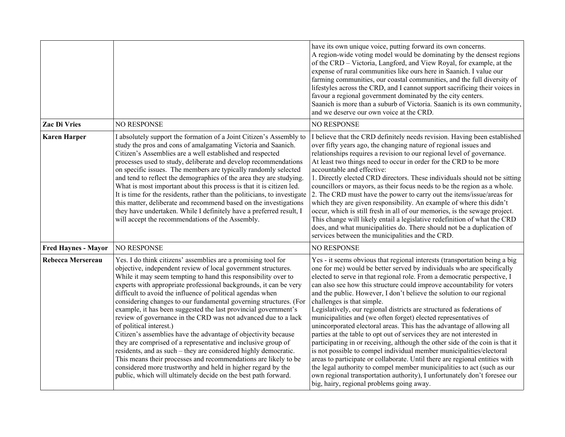|                            |                                                                                                                                                                                                                                                                                                                                                                                                                                                                                                                                                                                                                                                                                                                                                                                                                                                                                                                                                                                     | have its own unique voice, putting forward its own concerns.<br>A region-wide voting model would be dominating by the densest regions<br>of the CRD - Victoria, Langford, and View Royal, for example, at the<br>expense of rural communities like ours here in Saanich. I value our<br>farming communities, our coastal communities, and the full diversity of<br>lifestyles across the CRD, and I cannot support sacrificing their voices in<br>favour a regional government dominated by the city centers.<br>Saanich is more than a suburb of Victoria. Saanich is its own community,<br>and we deserve our own voice at the CRD.                                                                                                                                                                                                                                                                                                                                                                                                                                                                                                                            |
|----------------------------|-------------------------------------------------------------------------------------------------------------------------------------------------------------------------------------------------------------------------------------------------------------------------------------------------------------------------------------------------------------------------------------------------------------------------------------------------------------------------------------------------------------------------------------------------------------------------------------------------------------------------------------------------------------------------------------------------------------------------------------------------------------------------------------------------------------------------------------------------------------------------------------------------------------------------------------------------------------------------------------|------------------------------------------------------------------------------------------------------------------------------------------------------------------------------------------------------------------------------------------------------------------------------------------------------------------------------------------------------------------------------------------------------------------------------------------------------------------------------------------------------------------------------------------------------------------------------------------------------------------------------------------------------------------------------------------------------------------------------------------------------------------------------------------------------------------------------------------------------------------------------------------------------------------------------------------------------------------------------------------------------------------------------------------------------------------------------------------------------------------------------------------------------------------|
| Zac Di Vries               | <b>NO RESPONSE</b>                                                                                                                                                                                                                                                                                                                                                                                                                                                                                                                                                                                                                                                                                                                                                                                                                                                                                                                                                                  | <b>NO RESPONSE</b>                                                                                                                                                                                                                                                                                                                                                                                                                                                                                                                                                                                                                                                                                                                                                                                                                                                                                                                                                                                                                                                                                                                                               |
| <b>Karen Harper</b>        | I absolutely support the formation of a Joint Citizen's Assembly to<br>study the pros and cons of amalgamating Victoria and Saanich.<br>Citizen's Assemblies are a well established and respected<br>processes used to study, deliberate and develop recommendations<br>on specific issues. The members are typically randomly selected<br>and tend to reflect the demographics of the area they are studying.<br>What is most important about this process is that it is citizen led.<br>It is time for the residents, rather than the politicians, to investigate<br>this matter, deliberate and recommend based on the investigations<br>they have undertaken. While I definitely have a preferred result, I<br>will accept the recommendations of the Assembly.                                                                                                                                                                                                                 | I believe that the CRD definitely needs revision. Having been established<br>over fifty years ago, the changing nature of regional issues and<br>relationships requires a revision to our regional level of governance.<br>At least two things need to occur in order for the CRD to be more<br>accountable and effective:<br>1. Directly elected CRD directors. These individuals should not be sitting<br>councillors or mayors, as their focus needs to be the region as a whole.<br>2. The CRD must have the power to carry out the items/issue/areas for<br>which they are given responsibility. An example of where this didn't<br>occur, which is still fresh in all of our memories, is the sewage project.<br>This change will likely entail a legislative redefinition of what the CRD<br>does, and what municipalities do. There should not be a duplication of<br>services between the municipalities and the CRD.                                                                                                                                                                                                                                   |
| <b>Fred Haynes - Mayor</b> | <b>NO RESPONSE</b>                                                                                                                                                                                                                                                                                                                                                                                                                                                                                                                                                                                                                                                                                                                                                                                                                                                                                                                                                                  | <b>NO RESPONSE</b>                                                                                                                                                                                                                                                                                                                                                                                                                                                                                                                                                                                                                                                                                                                                                                                                                                                                                                                                                                                                                                                                                                                                               |
| <b>Rebecca Mersereau</b>   | Yes. I do think citizens' assemblies are a promising tool for<br>objective, independent review of local government structures.<br>While it may seem tempting to hand this responsibility over to<br>experts with appropriate professional backgrounds, it can be very<br>difficult to avoid the influence of political agendas when<br>considering changes to our fundamental governing structures. (For<br>example, it has been suggested the last provincial government's<br>review of governance in the CRD was not advanced due to a lack<br>of political interest.)<br>Citizen's assemblies have the advantage of objectivity because<br>they are comprised of a representative and inclusive group of<br>residents, and as such - they are considered highly democratic.<br>This means their processes and recommendations are likely to be<br>considered more trustworthy and held in higher regard by the<br>public, which will ultimately decide on the best path forward. | Yes - it seems obvious that regional interests (transportation being a big<br>one for me) would be better served by individuals who are specifically<br>elected to serve in that regional role. From a democratic perspective, I<br>can also see how this structure could improve accountability for voters<br>and the public. However, I don't believe the solution to our regional<br>challenges is that simple.<br>Legislatively, our regional districts are structured as federations of<br>municipalities and (we often forget) elected representatives of<br>unincorporated electoral areas. This has the advantage of allowing all<br>parties at the table to opt out of services they are not interested in<br>participating in or receiving, although the other side of the coin is that it<br>is not possible to compel individual member municipalities/electoral<br>areas to participate or collaborate. Until there are regional entities with<br>the legal authority to compel member municipalities to act (such as our<br>own regional transportation authority), I unfortunately don't foresee our<br>big, hairy, regional problems going away. |